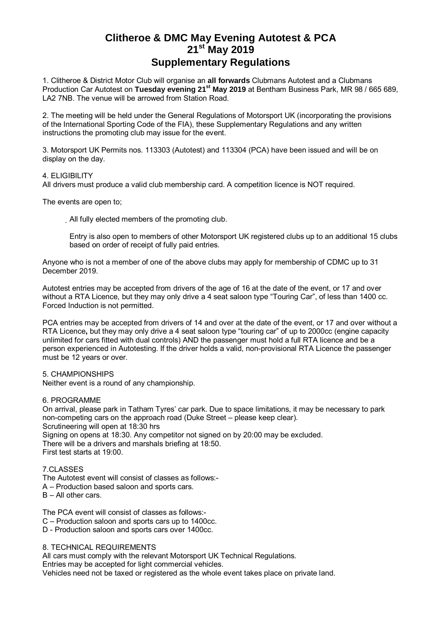## **Clitheroe & DMC May Evening Autotest & PCA 21st May 2019 Supplementary Regulations**

1. Clitheroe & District Motor Club will organise an **all forwards** Clubmans Autotest and a Clubmans Production Car Autotest on Tuesday evening 21<sup>st</sup> May 2019 at Bentham Business Park, MR 98 / 665 689, LA2 7NB. The venue will be arrowed from Station Road.

2. The meeting will be held under the General Regulations of Motorsport UK (incorporating the provisions of the International Sporting Code of the FIA), these Supplementary Regulations and any written instructions the promoting club may issue for the event.

3. Motorsport UK Permits nos. 113303 (Autotest) and 113304 (PCA) have been issued and will be on display on the day.

#### 4. ELIGIBILITY

All drivers must produce a valid club membership card. A competition licence is NOT required.

The events are open to;

All fully elected members of the promoting club.

Entry is also open to members of other Motorsport UK registered clubs up to an additional 15 clubs based on order of receipt of fully paid entries.

Anyone who is not a member of one of the above clubs may apply for membership of CDMC up to 31 December 2019.

Autotest entries may be accepted from drivers of the age of 16 at the date of the event, or 17 and over without a RTA Licence, but they may only drive a 4 seat saloon type "Touring Car", of less than 1400 cc. Forced Induction is not permitted.

PCA entries may be accepted from drivers of 14 and over at the date of the event, or 17 and over without a RTA Licence**,** but they may only drive a 4 seat saloon type "touring car" of up to 2000cc (engine capacity unlimited for cars fitted with dual controls) AND the passenger must hold a full RTA licence and be a person experienced in Autotesting. If the driver holds a valid, non-provisional RTA Licence the passenger must be 12 years or over.

#### 5. CHAMPIONSHIPS

Neither event is a round of any championship.

#### 6. PROGRAMME

On arrival, please park in Tatham Tyres' car park. Due to space limitations, it may be necessary to park non-competing cars on the approach road (Duke Street – please keep clear). Scrutineering will open at 18:30 hrs Signing on opens at 18:30. Any competitor not signed on by 20:00 may be excluded. There will be a drivers and marshals briefing at 18:50. First test starts at 19:00.

7.CLASSES

The Autotest event will consist of classes as follows:-

- A Production based saloon and sports cars.
- B All other cars.

The PCA event will consist of classes as follows:-

- C Production saloon and sports cars up to 1400cc.
- D Production saloon and sports cars over 1400cc.

#### 8. TECHNICAL REQUIREMENTS

All cars must comply with the relevant Motorsport UK Technical Regulations. Entries may be accepted for light commercial vehicles. Vehicles need not be taxed or registered as the whole event takes place on private land.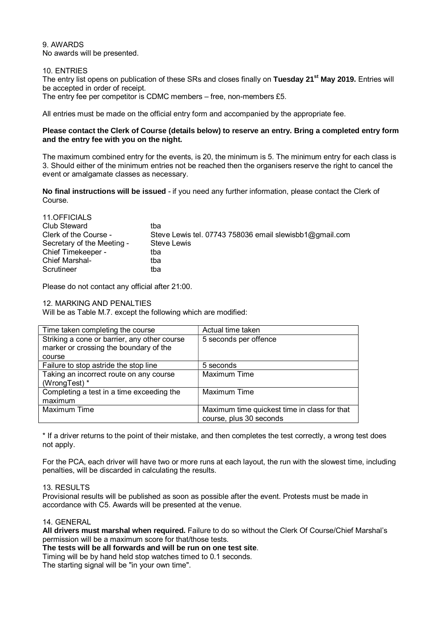## 9. AWARDS

No awards will be presented.

#### 10. ENTRIES

The entry list opens on publication of these SRs and closes finally on **Tuesday 21st May 2019.** Entries will be accepted in order of receipt.

The entry fee per competitor is CDMC members – free, non-members £5.

All entries must be made on the official entry form and accompanied by the appropriate fee.

#### **Please contact the Clerk of Course (details below) to reserve an entry. Bring a completed entry form and the entry fee with you on the night.**

The maximum combined entry for the events, is 20, the minimum is 5. The minimum entry for each class is 3. Should either of the minimum entries not be reached then the organisers reserve the right to cancel the event or amalgamate classes as necessary.

**No final instructions will be issued** - if you need any further information, please contact the Clerk of Course.

| 11.OFFICIALS               |                                                         |
|----------------------------|---------------------------------------------------------|
| Club Steward               | tba                                                     |
| Clerk of the Course -      | Steve Lewis tel. 07743 758036 email slewisbb1@gmail.com |
| Secretary of the Meeting - | <b>Steve Lewis</b>                                      |
| Chief Timekeeper -         | tba                                                     |
| <b>Chief Marshal-</b>      | tba                                                     |
| Scrutineer                 | tba                                                     |

Please do not contact any official after 21:00.

12. MARKING AND PENALTIES

Will be as Table M.7. except the following which are modified:

| Time taken completing the course             | Actual time taken                            |
|----------------------------------------------|----------------------------------------------|
| Striking a cone or barrier, any other course | 5 seconds per offence                        |
| marker or crossing the boundary of the       |                                              |
| course                                       |                                              |
| Failure to stop astride the stop line        | 5 seconds                                    |
| Taking an incorrect route on any course      | Maximum Time                                 |
| (WrongTest) *                                |                                              |
| Completing a test in a time exceeding the    | Maximum Time                                 |
| maximum                                      |                                              |
| Maximum Time                                 | Maximum time quickest time in class for that |
|                                              | course, plus 30 seconds                      |

\* If a driver returns to the point of their mistake, and then completes the test correctly, a wrong test does not apply.

For the PCA, each driver will have two or more runs at each layout, the run with the slowest time, including penalties, will be discarded in calculating the results.

#### 13. RESULTS

Provisional results will be published as soon as possible after the event. Protests must be made in accordance with C5. Awards will be presented at the venue.

#### 14. GENERAL

**All drivers must marshal when required.** Failure to do so without the Clerk Of Course/Chief Marshal's permission will be a maximum score for that/those tests.

**The tests will be all forwards and will be run on one test site**.

Timing will be by hand held stop watches timed to 0.1 seconds.

The starting signal will be "in your own time".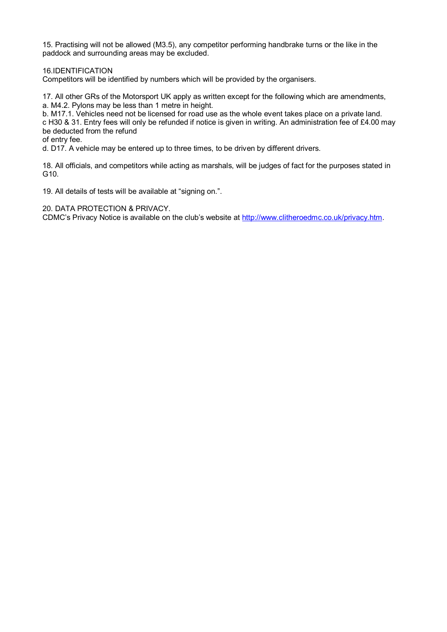15. Practising will not be allowed (M3.5), any competitor performing handbrake turns or the like in the paddock and surrounding areas may be excluded.

16.IDENTIFICATION

Competitors will be identified by numbers which will be provided by the organisers.

17. All other GRs of the Motorsport UK apply as written except for the following which are amendments, a. M4.2. Pylons may be less than 1 metre in height.

b. M17.1. Vehicles need not be licensed for road use as the whole event takes place on a private land.

c H30 & 31. Entry fees will only be refunded if notice is given in writing. An administration fee of £4.00 may be deducted from the refund

of entry fee.

d. D17. A vehicle may be entered up to three times, to be driven by different drivers.

18. All officials, and competitors while acting as marshals, will be judges of fact for the purposes stated in G10.

19. All details of tests will be available at "signing on.".

20. DATA PROTECTION & PRIVACY.

CDMC's Privacy Notice is available on the club's website at http://www.clitheroedmc.co.uk/privacy.htm.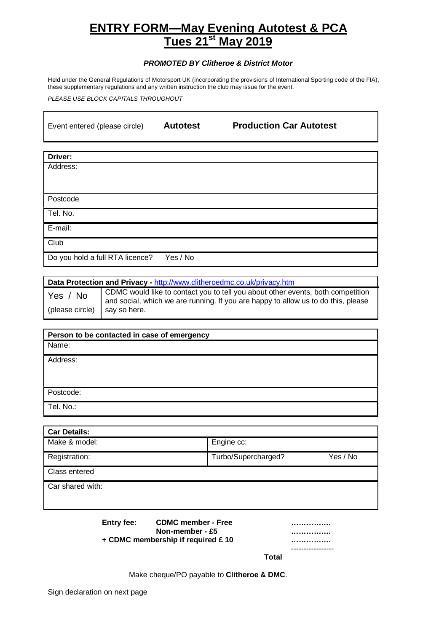## **ENTRY FORM—May Evening Autotest & PCA Tues 21st May 2019**

#### **PROMOTED BY Clitheroe & District Motor**

Held under the General Regulations of Motorsport UK (incorporating the provisions of International Sporting code of the FIA), these supplementary regulations and any written instruction the club may issue for the event.

PLEASE USE BLOCK CAPITALS THROUGHOUT

| Event entered (please circle) | <b>Autotest</b> | <b>Production Car Autotest</b> |  |
|-------------------------------|-----------------|--------------------------------|--|
|                               |                 |                                |  |

**Driver:** Address:

Postcode

Tel. No.

E-mail:

**Club** 

Do you hold a full RTA licence? Yes / No

### **Data Protection and Privacy -** http://www.clitheroedmc.co.uk/privacy.htm

Yes / No (please circle) CDMC would like to contact you to tell you about other events, both competition and social, which we are running. If you are happy to allow us to do this, please say so here.

# **Person to be contacted in case of emergency** Name: Address: Postcode: Tel. No.:

| Engine cc:                      |
|---------------------------------|
| Turbo/Supercharged?<br>Yes / No |
|                                 |
|                                 |
|                                 |
|                                 |

**Entry fee: CDMC member - Free ……………. Non-member - £5 …………….**

**+ CDMC membership if required £ 10 …………….**

|  | . |  |
|--|---|--|
|  |   |  |
|  |   |  |

**Total**

Make cheque/PO payable to **Clitheroe & DMC**.